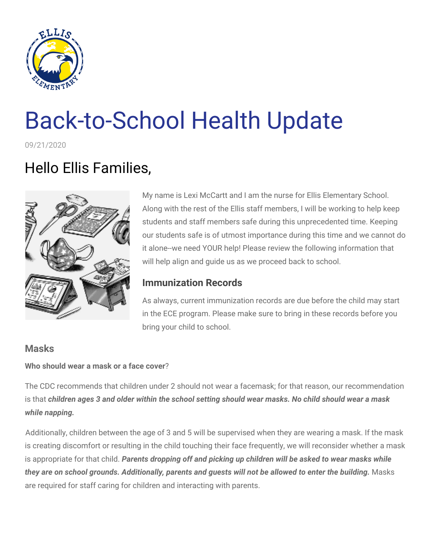

# Back-to-School Health Update

09/21/2020

# Hello Ellis Families,



My name is Lexi McCartt and I am the nurse for Ellis Elementary School. Along with the rest of the Ellis staff members, I will be working to help keep students and staff members safe during this unprecedented time. Keeping our students safe is of utmost importance during this time and we cannot do it alone--we need YOUR help! Please review the following information that will help align and guide us as we proceed back to school.

# **Immunization Records**

As always, current immunization records are due before the child may start in the ECE program. Please make sure to bring in these records before you bring your child to school.

# **Masks**

#### **Who should wear a mask or a face cover**?

The CDC recommends that children under 2 should not wear a facemask; for that reason, our recommendation is that children ages 3 and older within the school setting should wear masks. No child should wear a mask *while napping.*

Additionally, children between the age of 3 and 5 will be supervised when they are wearing a mask. If the mask is creating discomfort or resulting in the child touching their face frequently, we will reconsider whether a mask is appropriate for that child. *Parents dropping off and picking up children will be asked to wear masks while* they are on school grounds. Additionally, parents and guests will not be allowed to enter the building. Masks are required for staff caring for children and interacting with parents.